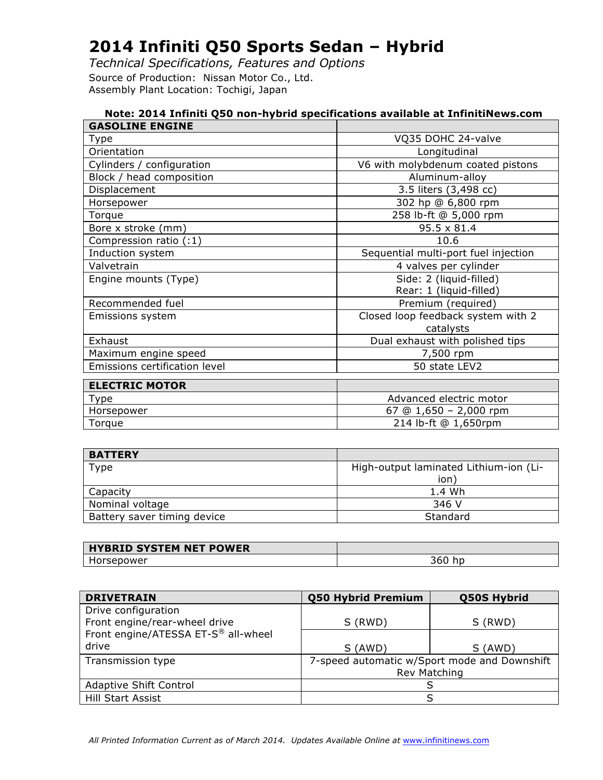*Technical Specifications, Features and Options* Source of Production: Nissan Motor Co., Ltd. Assembly Plant Location: Tochigi, Japan

| Note: 2014 Infiniti Q50 non-hybrid specifications available at InfinitiNews.com |                                      |  |  |
|---------------------------------------------------------------------------------|--------------------------------------|--|--|
| <b>GASOLINE ENGINE</b>                                                          |                                      |  |  |
| Type                                                                            | VQ35 DOHC 24-valve                   |  |  |
| Orientation                                                                     | Longitudinal                         |  |  |
| Cylinders / configuration                                                       | V6 with molybdenum coated pistons    |  |  |
| Block / head composition                                                        | Aluminum-alloy                       |  |  |
| Displacement                                                                    | 3.5 liters (3,498 cc)                |  |  |
| Horsepower                                                                      | 302 hp @ 6,800 rpm                   |  |  |
| Torque                                                                          | 258 lb-ft @ 5,000 rpm                |  |  |
| Bore x stroke (mm)                                                              | 95.5 x 81.4                          |  |  |
| Compression ratio (:1)                                                          | 10.6                                 |  |  |
| Induction system                                                                | Sequential multi-port fuel injection |  |  |
| Valvetrain                                                                      | 4 valves per cylinder                |  |  |
| Engine mounts (Type)                                                            | Side: 2 (liquid-filled)              |  |  |
|                                                                                 | Rear: 1 (liquid-filled)              |  |  |
| Recommended fuel                                                                | Premium (required)                   |  |  |
| Emissions system                                                                | Closed loop feedback system with 2   |  |  |
|                                                                                 | catalysts                            |  |  |
| Exhaust                                                                         | Dual exhaust with polished tips      |  |  |
| Maximum engine speed                                                            | 7,500 rpm                            |  |  |
| Emissions certification level                                                   | 50 state LEV2                        |  |  |
|                                                                                 |                                      |  |  |
| <b>ELECTRIC MOTOR</b>                                                           | Advanced electric motor              |  |  |
| Type                                                                            |                                      |  |  |
| Horsepower                                                                      | 67 @ $1,650 - 2,000$ rpm             |  |  |
| Torque                                                                          | 214 lb-ft @ 1,650rpm                 |  |  |

| <b>BATTERY</b>              |                                        |
|-----------------------------|----------------------------------------|
| Type                        | High-output laminated Lithium-ion (Li- |
|                             | ion <sup>'</sup>                       |
| Capacity                    | 1.4 Wh                                 |
| Nominal voltage             | 346 V                                  |
| Battery saver timing device | Standard                               |

| <b>HYBRID SYSTEM NET POWER</b> |     |
|--------------------------------|-----|
| sepower                        | JUU |

| <b>DRIVETRAIN</b>                   | <b>Q50 Hybrid Premium</b> | Q50S Hybrid                                  |
|-------------------------------------|---------------------------|----------------------------------------------|
| Drive configuration                 |                           |                                              |
| Front engine/rear-wheel drive       | S (RWD)                   | S (RWD)                                      |
| Front engine/ATESSA ET-S® all-wheel |                           |                                              |
| drive                               | S (AWD)                   | S (AWD)                                      |
| Transmission type                   |                           | 7-speed automatic w/Sport mode and Downshift |
|                                     | Rev Matching              |                                              |
| Adaptive Shift Control              |                           |                                              |
| Hill Start Assist                   |                           |                                              |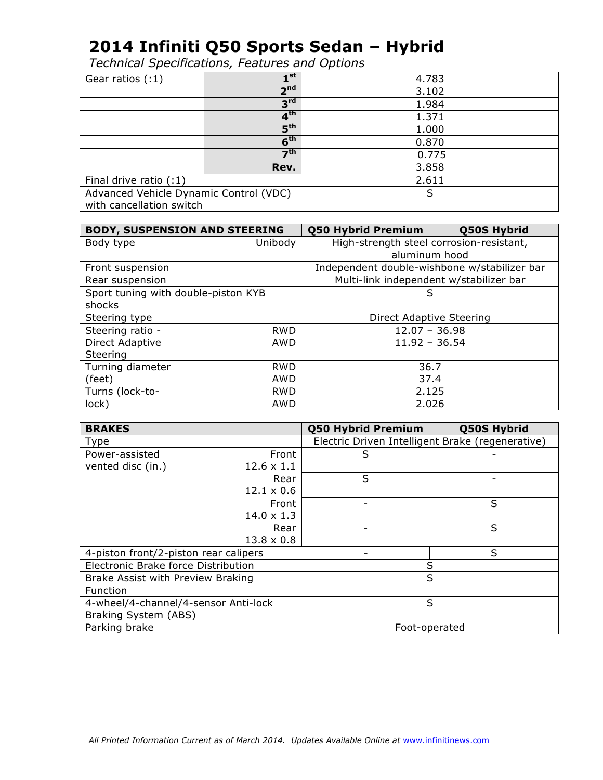| Gear ratios (:1)                       | ⊣st                        | 4.783 |
|----------------------------------------|----------------------------|-------|
|                                        | 2 <sup>nd</sup>            | 3.102 |
|                                        | 3 <sup>rd</sup>            | 1.984 |
|                                        | 4 <sup>th</sup>            | 1.371 |
|                                        | $\mathbf{5}^{\mathsf{th}}$ | 1.000 |
|                                        | 6 <sup>th</sup>            | 0.870 |
|                                        | 7 <sup>th</sup>            | 0.775 |
|                                        | Rev.                       | 3.858 |
| Final drive ratio $(1)$                |                            | 2.611 |
| Advanced Vehicle Dynamic Control (VDC) |                            | S     |
| with cancellation switch               |                            |       |

| <b>BODY, SUSPENSION AND STEERING</b> |            | Q50 Hybrid Premium<br>Q50S Hybrid        |                                              |
|--------------------------------------|------------|------------------------------------------|----------------------------------------------|
| Body type                            | Unibody    | High-strength steel corrosion-resistant, |                                              |
|                                      |            | aluminum hood                            |                                              |
| Front suspension                     |            |                                          | Independent double-wishbone w/stabilizer bar |
| Rear suspension                      |            |                                          | Multi-link independent w/stabilizer bar      |
| Sport tuning with double-piston KYB  |            | S                                        |                                              |
| shocks                               |            |                                          |                                              |
| Steering type                        |            | Direct Adaptive Steering                 |                                              |
| Steering ratio -                     | <b>RWD</b> | $12.07 - 36.98$                          |                                              |
| Direct Adaptive                      | AWD        | $11.92 - 36.54$                          |                                              |
| Steering                             |            |                                          |                                              |
| Turning diameter                     | <b>RWD</b> | 36.7                                     |                                              |
| (feet)                               | AWD        | 37.4                                     |                                              |
| Turns (lock-to-                      | <b>RWD</b> | 2.125                                    |                                              |
| lock)                                | AWD        | 2.026                                    |                                              |

| <b>BRAKES</b>                         |                   | <b>Q50 Hybrid Premium</b>                        | Q50S Hybrid |
|---------------------------------------|-------------------|--------------------------------------------------|-------------|
| Type                                  |                   | Electric Driven Intelligent Brake (regenerative) |             |
| Power-assisted                        | Front             | S                                                |             |
| vented disc (in.)                     | $12.6 \times 1.1$ |                                                  |             |
|                                       | Rear              | S                                                |             |
|                                       | $12.1 \times 0.6$ |                                                  |             |
|                                       | Front             |                                                  | S           |
|                                       | $14.0 \times 1.3$ |                                                  |             |
|                                       | Rear              |                                                  | S           |
|                                       | $13.8 \times 0.8$ |                                                  |             |
| 4-piston front/2-piston rear calipers |                   |                                                  | S           |
| Electronic Brake force Distribution   |                   | S                                                |             |
| Brake Assist with Preview Braking     |                   | S                                                |             |
| <b>Function</b>                       |                   |                                                  |             |
| 4-wheel/4-channel/4-sensor Anti-lock  |                   | S                                                |             |
| Braking System (ABS)                  |                   |                                                  |             |
| Parking brake                         |                   | Foot-operated                                    |             |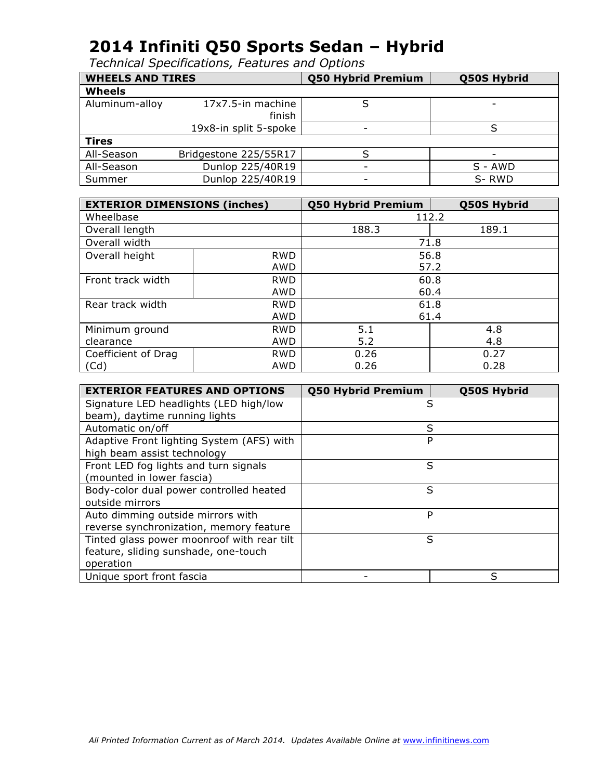| <b>WHEELS AND TIRES</b> |                             | <b>Q50 Hybrid Premium</b> | Q50S Hybrid              |
|-------------------------|-----------------------------|---------------------------|--------------------------|
| <b>Wheels</b>           |                             |                           |                          |
| Aluminum-alloy          | 17x7.5-in machine<br>finish |                           | $\overline{\phantom{a}}$ |
|                         | 19x8-in split 5-spoke       |                           |                          |
| <b>Tires</b>            |                             |                           |                          |
| All-Season              | Bridgestone 225/55R17       |                           |                          |
| All-Season              | Dunlop 225/40R19            | -                         | S - AWD                  |
| Summer                  | Dunlop 225/40R19            | ۰                         | S-RWD                    |

| <b>EXTERIOR DIMENSIONS (inches)</b> |            | Q50 Hybrid Premium | Q50S Hybrid |
|-------------------------------------|------------|--------------------|-------------|
| Wheelbase                           |            |                    | 112.2       |
| Overall length                      |            | 188.3              | 189.1       |
| Overall width                       |            | 71.8               |             |
| Overall height                      | <b>RWD</b> |                    | 56.8        |
|                                     | AWD        |                    | 57.2        |
| Front track width                   | <b>RWD</b> | 60.8               |             |
|                                     | AWD        | 60.4               |             |
| Rear track width                    | <b>RWD</b> | 61.8               |             |
|                                     | AWD        | 61.4               |             |
| Minimum ground                      | <b>RWD</b> | 5.1                | 4.8         |
| clearance                           | AWD        | 5.2                | 4.8         |
| Coefficient of Drag                 | <b>RWD</b> | 0.26               | 0.27        |
| (Cd)                                | <b>AWD</b> | 0.26               | 0.28        |

| <b>EXTERIOR FEATURES AND OPTIONS</b>       | Q50 Hybrid Premium | Q50S Hybrid |
|--------------------------------------------|--------------------|-------------|
| Signature LED headlights (LED high/low     | S                  |             |
| beam), daytime running lights              |                    |             |
| Automatic on/off                           | S                  |             |
| Adaptive Front lighting System (AFS) with  | P                  |             |
| high beam assist technology                |                    |             |
| Front LED fog lights and turn signals      | S                  |             |
| (mounted in lower fascia)                  |                    |             |
| Body-color dual power controlled heated    | S                  |             |
| outside mirrors                            |                    |             |
| Auto dimming outside mirrors with          | P                  |             |
| reverse synchronization, memory feature    |                    |             |
| Tinted glass power moonroof with rear tilt | S                  |             |
| feature, sliding sunshade, one-touch       |                    |             |
| operation                                  |                    |             |
| Unique sport front fascia                  |                    | ς           |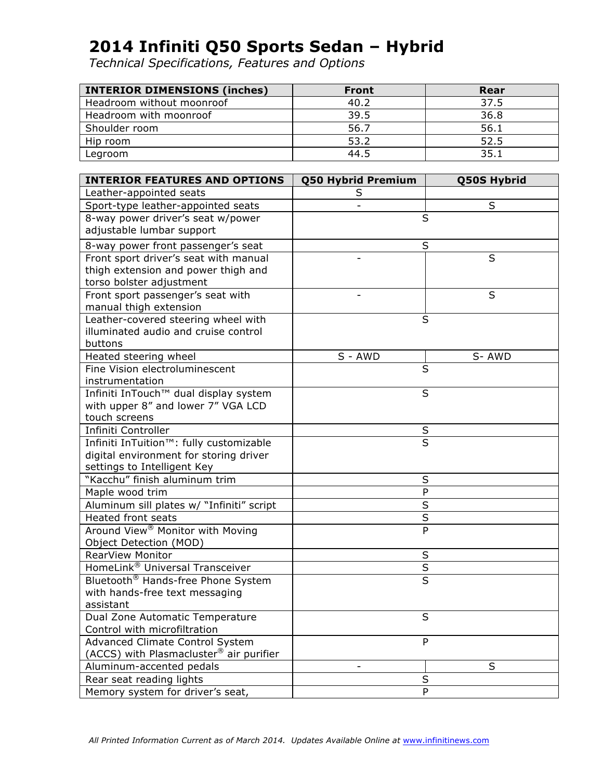| <b>INTERIOR DIMENSIONS (inches)</b> | <b>Front</b> | Rear |
|-------------------------------------|--------------|------|
| Headroom without moonroof           | 40.2         | 37.5 |
| Headroom with moonroof              | 39.5         | 36.8 |
| Shoulder room                       | 56.7         | 56.1 |
| Hip room                            | 53.2         | 52.5 |
| Legroom                             | 44.5         | 35.1 |

| <b>INTERIOR FEATURES AND OPTIONS</b>                | <b>Q50 Hybrid Premium</b>    | <b>Q50S Hybrid</b>      |
|-----------------------------------------------------|------------------------------|-------------------------|
| Leather-appointed seats                             | S                            |                         |
| Sport-type leather-appointed seats                  |                              | S                       |
| 8-way power driver's seat w/power                   | S                            |                         |
| adjustable lumbar support                           |                              |                         |
| 8-way power front passenger's seat                  |                              | S                       |
| Front sport driver's seat with manual               |                              | S                       |
| thigh extension and power thigh and                 |                              |                         |
| torso bolster adjustment                            |                              |                         |
| Front sport passenger's seat with                   |                              | S                       |
| manual thigh extension                              |                              |                         |
| Leather-covered steering wheel with                 |                              | S                       |
| illuminated audio and cruise control                |                              |                         |
| buttons                                             |                              |                         |
| Heated steering wheel                               | S - AWD                      | S-AWD                   |
| Fine Vision electroluminescent                      | S                            |                         |
| instrumentation                                     |                              |                         |
| Infiniti InTouch™ dual display system               |                              | S                       |
| with upper 8" and lower 7" VGA LCD                  |                              |                         |
| touch screens                                       |                              |                         |
| Infiniti Controller                                 | $rac{S}{S}$                  |                         |
| Infiniti InTuition™: fully customizable             |                              |                         |
| digital environment for storing driver              |                              |                         |
| settings to Intelligent Key                         |                              |                         |
| "Kacchu" finish aluminum trim                       |                              | S                       |
| Maple wood trim                                     |                              | P                       |
| Aluminum sill plates w/ "Infiniti" script           |                              | S                       |
| <b>Heated front seats</b>                           |                              | $\overline{S}$          |
| Around View <sup>®</sup> Monitor with Moving        |                              | P                       |
| Object Detection (MOD)                              |                              |                         |
| RearView Monitor                                    |                              | S                       |
| HomeLink® Universal Transceiver                     |                              | $\overline{\mathsf{S}}$ |
| Bluetooth <sup>®</sup> Hands-free Phone System      |                              | S                       |
| with hands-free text messaging                      |                              |                         |
| assistant                                           |                              |                         |
| Dual Zone Automatic Temperature                     |                              | S                       |
| Control with microfiltration                        |                              |                         |
| <b>Advanced Climate Control System</b>              |                              | P                       |
| (ACCS) with Plasmacluster <sup>®</sup> air purifier |                              |                         |
| Aluminum-accented pedals                            | $\qquad \qquad \blacksquare$ | S                       |
| Rear seat reading lights                            |                              | $\sf S$                 |
| Memory system for driver's seat,                    |                              | P                       |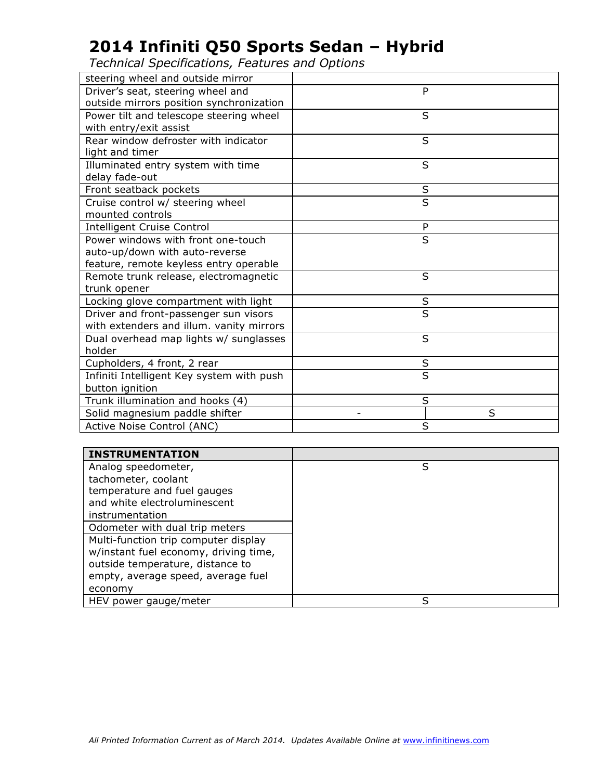| steering wheel and outside mirror         |                         |
|-------------------------------------------|-------------------------|
| Driver's seat, steering wheel and         | P                       |
| outside mirrors position synchronization  |                         |
| Power tilt and telescope steering wheel   | S                       |
| with entry/exit assist                    |                         |
| Rear window defroster with indicator      | S                       |
| light and timer                           |                         |
| Illuminated entry system with time        | S                       |
| delay fade-out                            |                         |
| Front seatback pockets                    | S                       |
| Cruise control w/ steering wheel          | $\overline{\mathsf{s}}$ |
| mounted controls                          |                         |
| <b>Intelligent Cruise Control</b>         | P                       |
| Power windows with front one-touch        | S                       |
| auto-up/down with auto-reverse            |                         |
| feature, remote keyless entry operable    |                         |
| Remote trunk release, electromagnetic     | S                       |
| trunk opener                              |                         |
| Locking glove compartment with light      | S                       |
| Driver and front-passenger sun visors     | S                       |
| with extenders and illum. vanity mirrors  |                         |
| Dual overhead map lights w/ sunglasses    | S                       |
| holder                                    |                         |
| Cupholders, 4 front, 2 rear               | S                       |
| Infiniti Intelligent Key system with push | S                       |
| button ignition                           |                         |
| Trunk illumination and hooks (4)          | S                       |
| Solid magnesium paddle shifter            | S                       |
| Active Noise Control (ANC)                | S                       |

| <b>INSTRUMENTATION</b>                |   |
|---------------------------------------|---|
| Analog speedometer,                   | S |
| tachometer, coolant                   |   |
| temperature and fuel gauges           |   |
| and white electroluminescent          |   |
| instrumentation                       |   |
| Odometer with dual trip meters        |   |
| Multi-function trip computer display  |   |
| w/instant fuel economy, driving time, |   |
| outside temperature, distance to      |   |
| empty, average speed, average fuel    |   |
| economy                               |   |
| HEV power gauge/meter                 | S |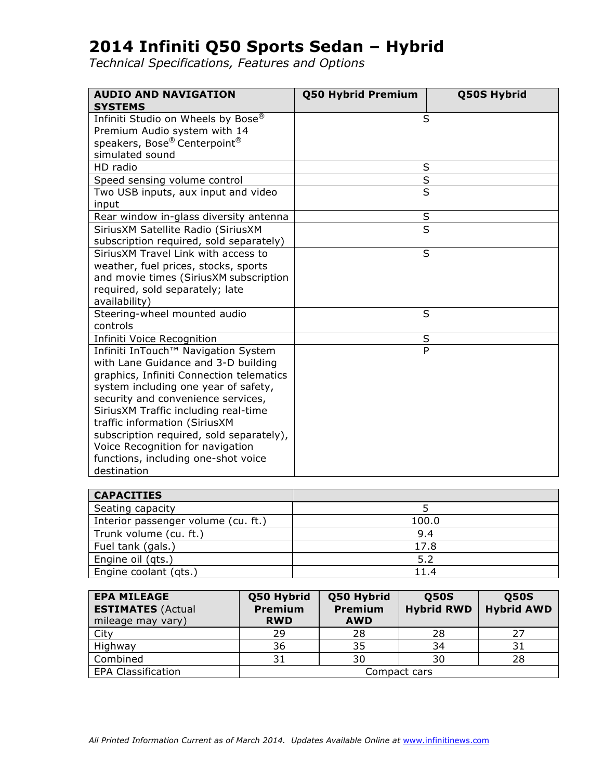| <b>AUDIO AND NAVIGATION</b><br><b>SYSTEMS</b>                                                                                                                                                                                                                                                                                                                                                                       | Q50 Hybrid Premium      | <b>Q50S Hybrid</b> |
|---------------------------------------------------------------------------------------------------------------------------------------------------------------------------------------------------------------------------------------------------------------------------------------------------------------------------------------------------------------------------------------------------------------------|-------------------------|--------------------|
| Infiniti Studio on Wheels by Bose®<br>Premium Audio system with 14<br>speakers, Bose® Centerpoint®<br>simulated sound                                                                                                                                                                                                                                                                                               | S                       |                    |
| HD radio                                                                                                                                                                                                                                                                                                                                                                                                            | S                       |                    |
| Speed sensing volume control                                                                                                                                                                                                                                                                                                                                                                                        | $\overline{\mathsf{s}}$ |                    |
| Two USB inputs, aux input and video<br>input                                                                                                                                                                                                                                                                                                                                                                        | $\overline{\mathsf{s}}$ |                    |
| Rear window in-glass diversity antenna                                                                                                                                                                                                                                                                                                                                                                              | $\sf S$                 |                    |
| SiriusXM Satellite Radio (SiriusXM<br>subscription required, sold separately)                                                                                                                                                                                                                                                                                                                                       | $\overline{\mathsf{s}}$ |                    |
| SiriusXM Travel Link with access to<br>weather, fuel prices, stocks, sports<br>and movie times (SiriusXM subscription<br>required, sold separately; late<br>availability)                                                                                                                                                                                                                                           | S                       |                    |
| Steering-wheel mounted audio<br>controls                                                                                                                                                                                                                                                                                                                                                                            | S                       |                    |
| Infiniti Voice Recognition                                                                                                                                                                                                                                                                                                                                                                                          | $\sf S$                 |                    |
| Infiniti InTouch™ Navigation System<br>with Lane Guidance and 3-D building<br>graphics, Infiniti Connection telematics<br>system including one year of safety,<br>security and convenience services,<br>SiriusXM Traffic including real-time<br>traffic information (SiriusXM<br>subscription required, sold separately),<br>Voice Recognition for navigation<br>functions, including one-shot voice<br>destination | $\overline{P}$          |                    |

| <b>CAPACITIES</b>                   |       |
|-------------------------------------|-------|
| Seating capacity                    |       |
| Interior passenger volume (cu. ft.) | 100.0 |
| Trunk volume (cu. ft.)              | 9.4   |
| Fuel tank (gals.)                   | 17.8  |
| Engine oil (qts.)                   | 5.2   |
| Engine coolant (qts.)               | 11.4  |

| <b>EPA MILEAGE</b><br><b>ESTIMATES (Actual</b><br>mileage may vary) | Q50 Hybrid<br><b>Premium</b><br><b>RWD</b> | Q50 Hybrid<br><b>Premium</b><br><b>AWD</b> | <b>Q50S</b><br><b>Hybrid RWD</b> | <b>Q50S</b><br><b>Hybrid AWD</b> |
|---------------------------------------------------------------------|--------------------------------------------|--------------------------------------------|----------------------------------|----------------------------------|
| City                                                                | 29                                         | 28                                         | 28                               | 27                               |
| Highway                                                             | 36                                         | 35                                         | 34                               | 31                               |
| Combined                                                            | 31                                         | 30                                         | 30                               | 28                               |
| <b>EPA Classification</b>                                           | Compact cars                               |                                            |                                  |                                  |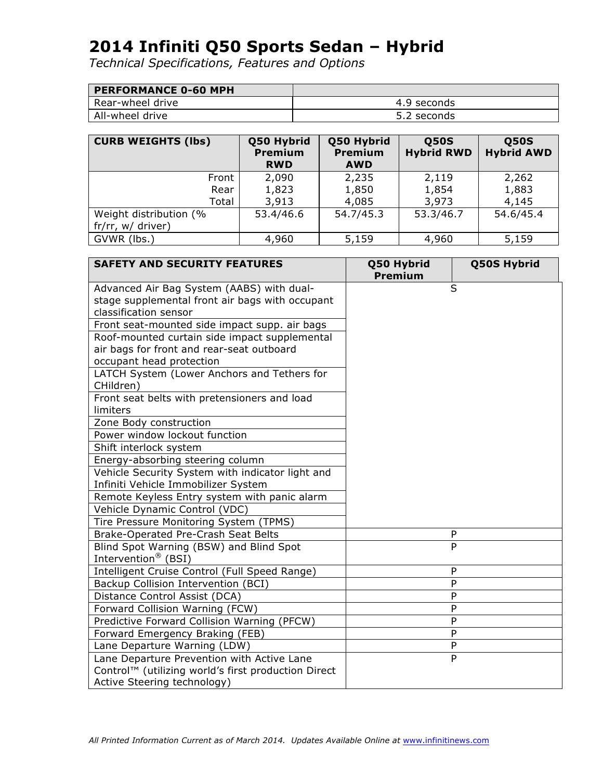| <b>PERFORMANCE 0-60 MPH</b> |             |
|-----------------------------|-------------|
| l Rear-wheel drive          | 4.9 seconds |
| All-wheel drive             | 5.2 seconds |

| <b>CURB WEIGHTS (lbs)</b> | Q50 Hybrid<br><b>Premium</b><br><b>RWD</b> | Q50 Hybrid<br>Premium<br><b>AWD</b> | <b>Q50S</b><br><b>Hybrid RWD</b> | <b>Q50S</b><br><b>Hybrid AWD</b> |
|---------------------------|--------------------------------------------|-------------------------------------|----------------------------------|----------------------------------|
| Front                     | 2,090                                      | 2,235                               | 2,119                            | 2,262                            |
| Rear                      | 1,823                                      | 1,850                               | 1,854                            | 1,883                            |
| Total                     | 3,913                                      | 4,085                               | 3,973                            | 4,145                            |
| Weight distribution (%    | 53.4/46.6                                  | 54.7/45.3                           | 53.3/46.7                        | 54.6/45.4                        |
| fr/rr, w/ driver)         |                                            |                                     |                                  |                                  |
| GVWR (lbs.)               | 4,960                                      | 5,159                               | 4,960                            | 5,159                            |

| <b>SAFETY AND SECURITY FEATURES</b>                      | Q50 Hybrid<br><b>Premium</b> | Q50S Hybrid |
|----------------------------------------------------------|------------------------------|-------------|
| Advanced Air Bag System (AABS) with dual-                |                              | S           |
| stage supplemental front air bags with occupant          |                              |             |
| classification sensor                                    |                              |             |
| Front seat-mounted side impact supp. air bags            |                              |             |
| Roof-mounted curtain side impact supplemental            |                              |             |
| air bags for front and rear-seat outboard                |                              |             |
| occupant head protection                                 |                              |             |
| LATCH System (Lower Anchors and Tethers for<br>CHildren) |                              |             |
| Front seat belts with pretensioners and load             |                              |             |
| limiters                                                 |                              |             |
| Zone Body construction                                   |                              |             |
| Power window lockout function                            |                              |             |
| Shift interlock system                                   |                              |             |
| Energy-absorbing steering column                         |                              |             |
| Vehicle Security System with indicator light and         |                              |             |
| Infiniti Vehicle Immobilizer System                      |                              |             |
| Remote Keyless Entry system with panic alarm             |                              |             |
| Vehicle Dynamic Control (VDC)                            |                              |             |
| Tire Pressure Monitoring System (TPMS)                   |                              |             |
| Brake-Operated Pre-Crash Seat Belts                      |                              | P           |
| Blind Spot Warning (BSW) and Blind Spot                  |                              | P           |
| Intervention <sup>®</sup> (BSI)                          |                              |             |
| Intelligent Cruise Control (Full Speed Range)            |                              | P           |
| Backup Collision Intervention (BCI)                      |                              | P           |
| Distance Control Assist (DCA)                            |                              | P           |
| Forward Collision Warning (FCW)                          |                              | P           |
| Predictive Forward Collision Warning (PFCW)              |                              | P           |
| Forward Emergency Braking (FEB)                          |                              | P           |
| Lane Departure Warning (LDW)                             |                              | ${\sf P}$   |
| Lane Departure Prevention with Active Lane               |                              | P           |
| Control™ (utilizing world's first production Direct      |                              |             |
| Active Steering technology)                              |                              |             |